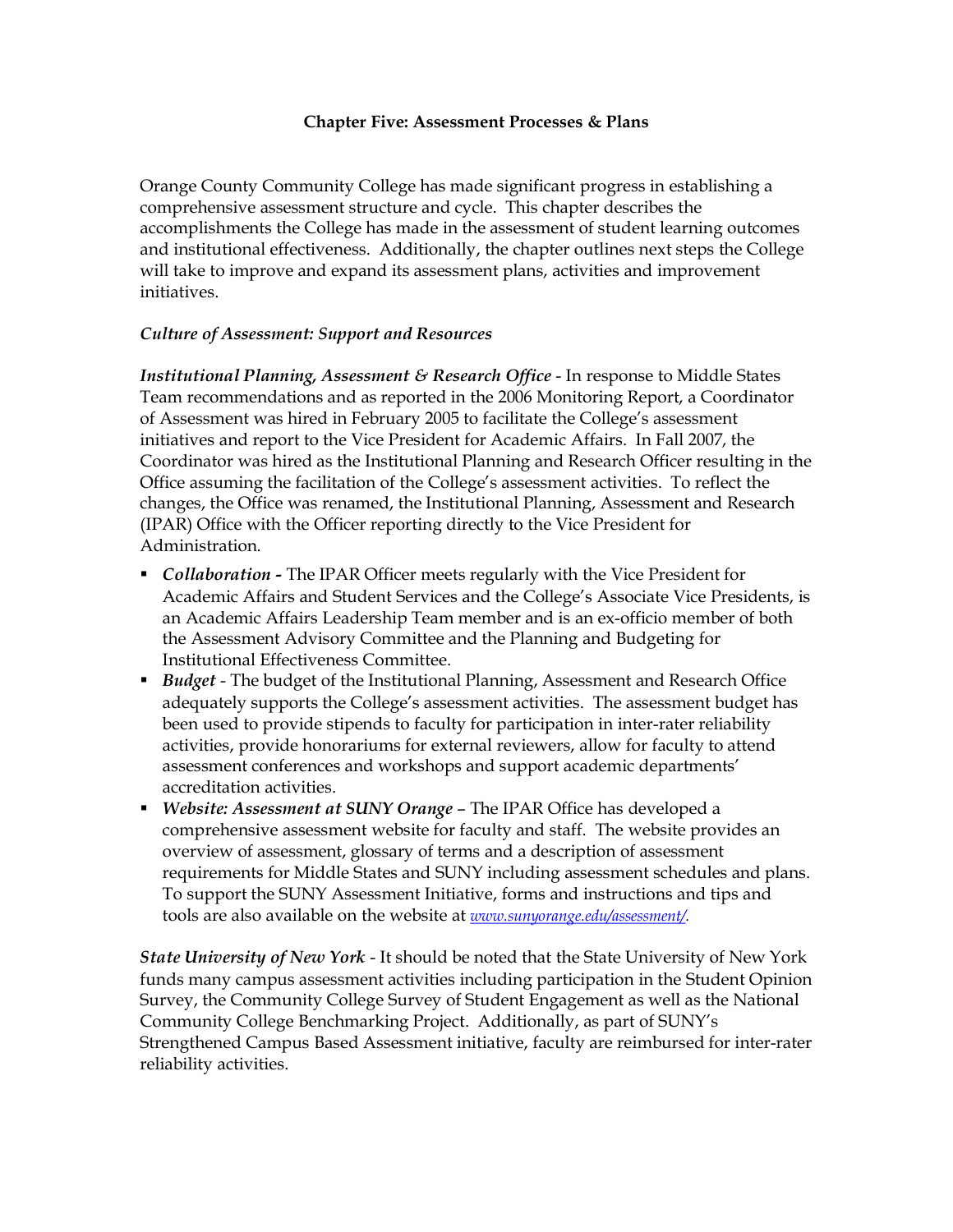#### **Chapter Five: Assessment Processes & Plans**

Orange County Community College has made significant progress in establishing a comprehensive assessment structure and cycle. This chapter describes the accomplishments the College has made in the assessment of student learning outcomes and institutional effectiveness. Additionally, the chapter outlines next steps the College will take to improve and expand its assessment plans, activities and improvement initiatives.

## *Culture of Assessment: Support and Resources*

*Institutional Planning, Assessment & Research Office* In response to Middle States Team recommendations and as reported in the 2006 Monitoring Report, a Coordinator of Assessment was hired in February 2005 to facilitate the College's assessment initiatives and report to the Vice President for Academic Affairs. In Fall 2007, the Coordinator was hired as the Institutional Planning and Research Officer resulting in the Office assuming the facilitation of the College's assessment activities. To reflect the changes, the Office was renamed, the Institutional Planning, Assessment and Research (IPAR) Office with the Officer reporting directly to the Vice President for Administration.

- **Collaboration The IPAR Officer meets regularly with the Vice President for** Academic Affairs and Student Services and the College's Associate Vice Presidents, is an Academic Affairs Leadership Team member and is an ex-officio member of both the Assessment Advisory Committee and the Planning and Budgeting for Institutional Effectiveness Committee.
- **Budget** The budget of the Institutional Planning, Assessment and Research Office adequately supports the College's assessment activities. The assessment budget has been used to provide stipends to faculty for participation in inter-rater reliability activities, provide honorariums for external reviewers, allow for faculty to attend assessment conferences and workshops and support academic departments' accreditation activities.
- ß *Website: Assessment at SUNY Orange* The IPAR Office has developed a comprehensive assessment website for faculty and staff. The website provides an overview of assessment, glossary of terms and a description of assessment requirements for Middle States and SUNY including assessment schedules and plans. To support the SUNY Assessment Initiative, forms and instructions and tips and tools are also available on the website at *www.sunyorange.edu/assessment/.*

*State University of New York* It should be noted that the State University of New York funds many campus assessment activities including participation in the Student Opinion Survey, the Community College Survey of Student Engagement as well as the National Community College Benchmarking Project. Additionally, as part of SUNY's Strengthened Campus Based Assessment initiative, faculty are reimbursed for inter-rater reliability activities.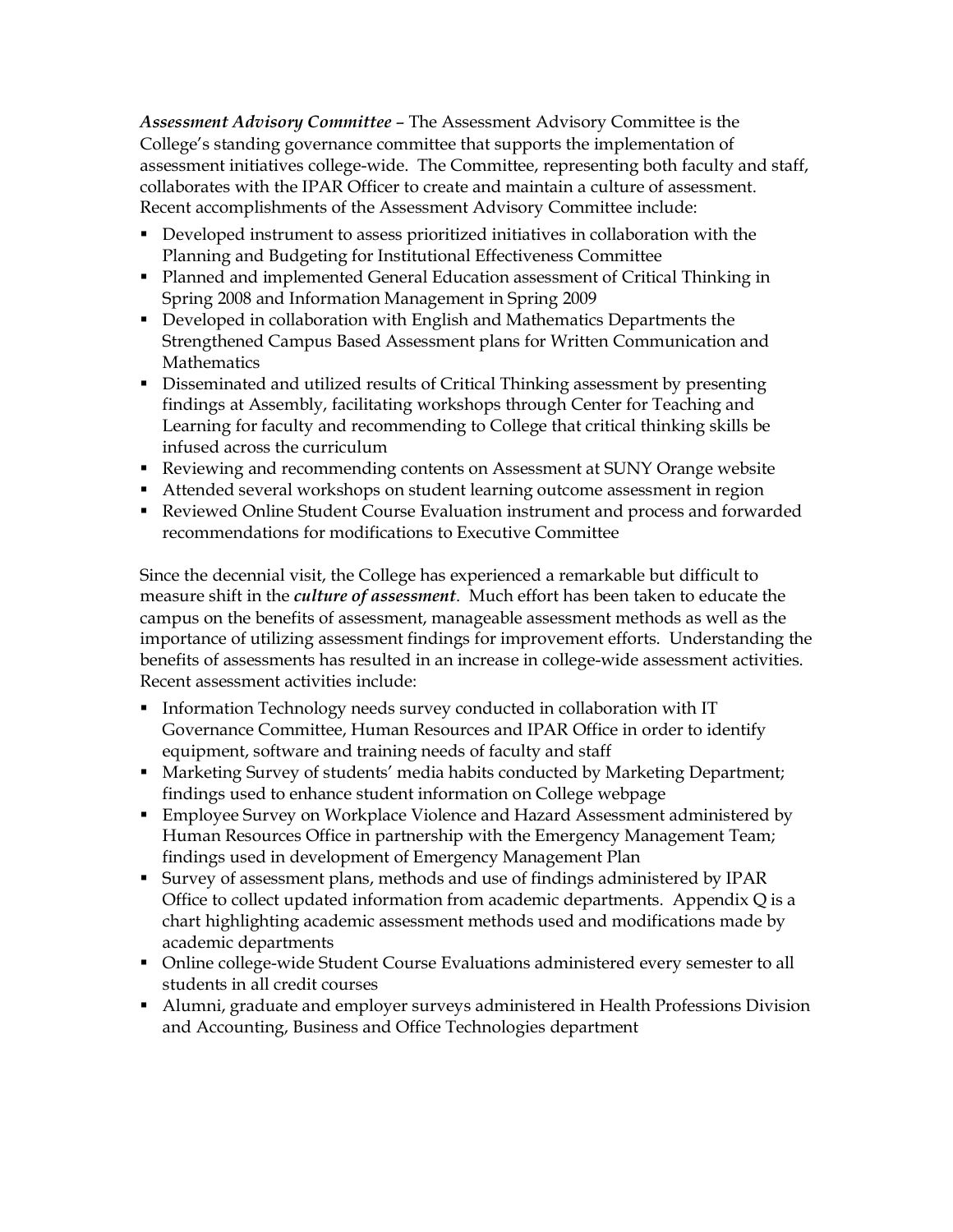*Assessment Advisory Committee* – The Assessment Advisory Committee is the College's standing governance committee that supports the implementation of assessment initiatives college-wide. The Committee, representing both faculty and staff, collaborates with the IPAR Officer to create and maintain a culture of assessment. Recent accomplishments of the Assessment Advisory Committee include:

- **•** Developed instrument to assess prioritized initiatives in collaboration with the Planning and Budgeting for Institutional Effectiveness Committee
- **Planned and implemented General Education assessment of Critical Thinking in** Spring 2008 and Information Management in Spring 2009
- Developed in collaboration with English and Mathematics Departments the Strengthened Campus Based Assessment plans for Written Communication and **Mathematics**
- **•** Disseminated and utilized results of Critical Thinking assessment by presenting findings at Assembly, facilitating workshops through Center for Teaching and Learning for faculty and recommending to College that critical thinking skills be infused across the curriculum
- **Reviewing and recommending contents on Assessment at SUNY Orange website**
- **Attended several workshops on student learning outcome assessment in region**
- **Reviewed Online Student Course Evaluation instrument and process and forwarded** recommendations for modifications to Executive Committee

Since the decennial visit, the College has experienced a remarkable but difficult to measure shift in the *culture of assessment*. Much effort has been taken to educate the campus on the benefits of assessment, manageable assessment methods as well as the importance of utilizing assessment findings for improvement efforts. Understanding the benefits of assessments has resulted in an increase in college-wide assessment activities. Recent assessment activities include:

- **Information Technology needs survey conducted in collaboration with IT** Governance Committee, Human Resources and IPAR Office in order to identify equipment, software and training needs of faculty and staff
- **Marketing Survey of students' media habits conducted by Marketing Department;** findings used to enhance student information on College webpage
- **Employee Survey on Workplace Violence and Hazard Assessment administered by** Human Resources Office in partnership with the Emergency Management Team; findings used in development of Emergency Management Plan
- **Survey of assessment plans, methods and use of findings administered by IPAR** Office to collect updated information from academic departments. Appendix Q is a chart highlighting academic assessment methods used and modifications made by academic departments
- Online college-wide Student Course Evaluations administered every semester to all students in all credit courses
- **Alumni, graduate and employer surveys administered in Health Professions Division** and Accounting, Business and Office Technologies department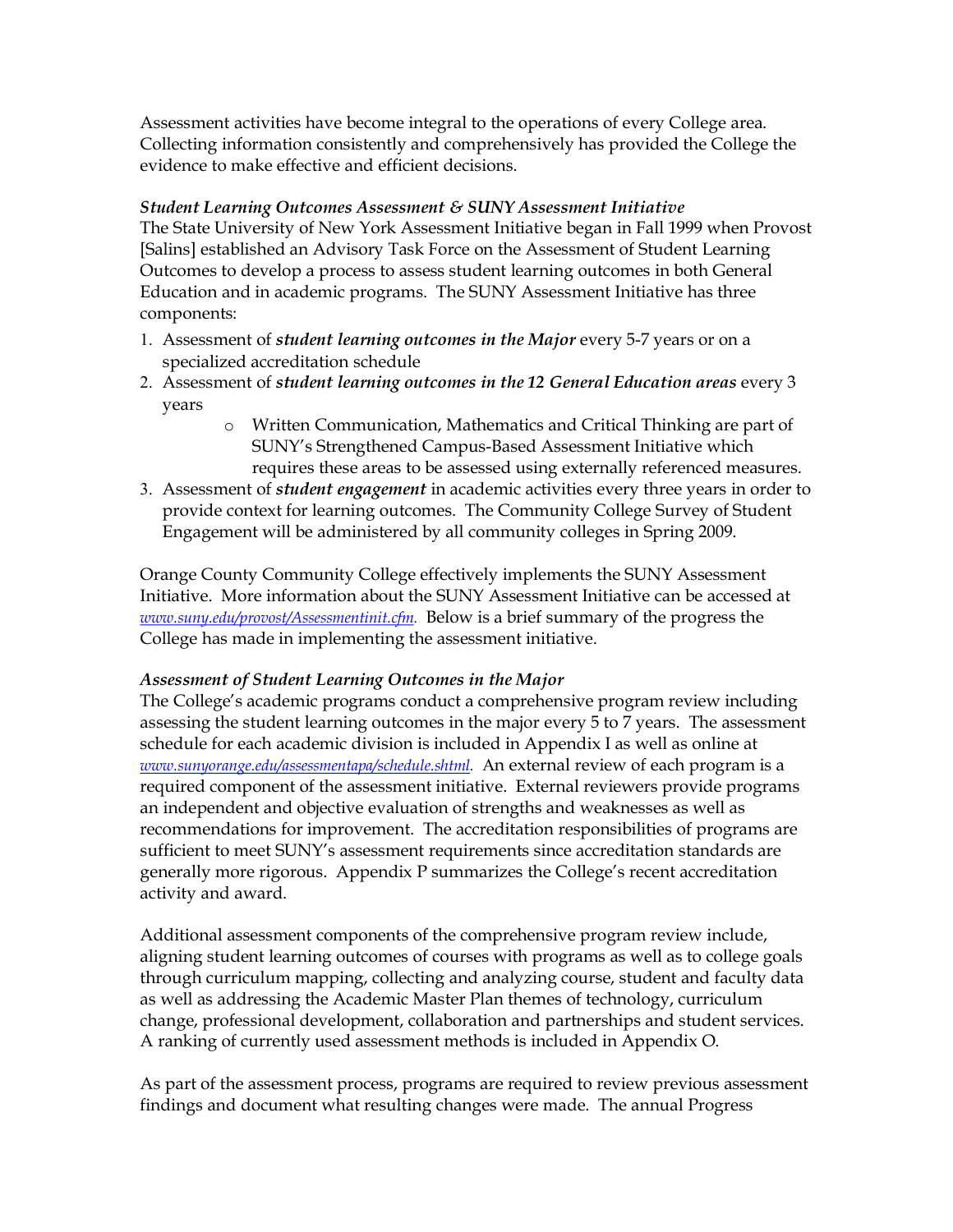Assessment activities have become integral to the operations of every College area. Collecting information consistently and comprehensively has provided the College the evidence to make effective and efficient decisions.

## *Student Learning Outcomes Assessment & SUNY Assessment Initiative*

The State University of New York Assessment Initiative began in Fall 1999 when Provost [Salins] established an Advisory Task Force on the Assessment of Student Learning Outcomes to develop a process to assess student learning outcomes in both General Education and in academic programs. The SUNY Assessment Initiative has three components:

- 1. Assessment of *student learning outcomes in the Major* every 57 years or on a specialized accreditation schedule
- 2. Assessment of *student learning outcomes in the 12 General Education areas* every 3 years
	- o Written Communication, Mathematics and Critical Thinking are part of SUNY's Strengthened Campus-Based Assessment Initiative which requires these areas to be assessed using externally referenced measures.
- 3. Assessment of *student engagement* in academic activities every three years in order to provide context for learning outcomes. The Community College Survey of Student Engagement will be administered by all community colleges in Spring 2009.

Orange County Community College effectively implements the SUNY Assessment Initiative. More information about the SUNY Assessment Initiative can be accessed at *www.suny.edu/provost/Assessmentinit.cfm*. Below is a brief summary of the progress the College has made in implementing the assessment initiative.

## *Assessment of Student Learning Outcomes in the Major*

The College's academic programs conduct a comprehensive program review including assessing the student learning outcomes in the major every 5 to 7 years. The assessment schedule for each academic division is included in Appendix I as well as online at *www.sunyorange.edu/assessmentapa/schedule.shtml.* An external review of each program is a required component of the assessment initiative. External reviewers provide programs an independent and objective evaluation of strengths and weaknesses as well as recommendations for improvement. The accreditation responsibilities of programs are sufficient to meet SUNY's assessment requirements since accreditation standards are generally more rigorous. Appendix P summarizes the College's recent accreditation activity and award.

Additional assessment components of the comprehensive program review include, aligning student learning outcomes of courses with programs as well as to college goals through curriculum mapping, collecting and analyzing course, student and faculty data as well as addressing the Academic Master Plan themes of technology, curriculum change, professional development, collaboration and partnerships and student services. A ranking of currently used assessment methods is included in Appendix O.

As part of the assessment process, programs are required to review previous assessment findings and document what resulting changes were made. The annual Progress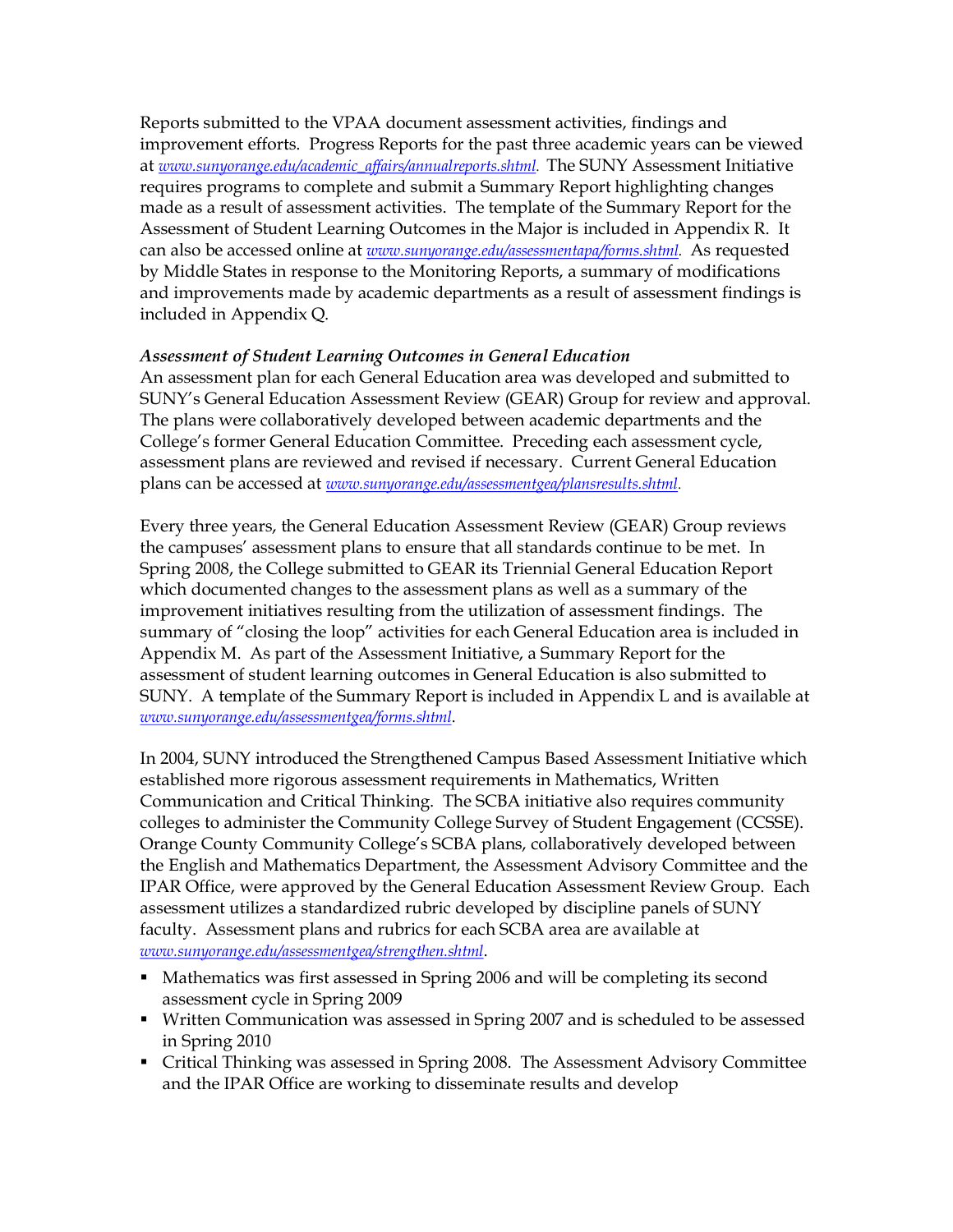Reports submitted to the VPAA document assessment activities, findings and improvement efforts. Progress Reports for the past three academic years can be viewed at *www.sunyorange.edu/academic\_af airs/annualreports.shtml*. The SUNY Assessment Initiative requires programs to complete and submit a Summary Report highlighting changes made as a result of assessment activities. The template of the Summary Report for the Assessment of Student Learning Outcomes in the Major is included in Appendix R. It can also be accessed online at *www.sunyorange.edu/assessmentapa/forms.shtml.* As requested by Middle States in response to the Monitoring Reports, a summary of modifications and improvements made by academic departments as a result of assessment findings is included in Appendix Q.

## *Assessment of Student Learning Outcomes in General Education*

An assessment plan for each General Education area was developed and submitted to SUNY's General Education Assessment Review (GEAR) Group for review and approval. The plans were collaboratively developed between academic departments and the College's former General Education Committee. Preceding each assessment cycle, assessment plans are reviewed and revised if necessary. Current General Education plans can be accessed at *www.sunyorange.edu/assessmentgea/plansresults.shtml*.

Every three years, the General Education Assessment Review (GEAR) Group reviews the campuses' assessment plans to ensure that all standards continue to be met. In Spring 2008, the College submitted to GEAR its Triennial General Education Report which documented changes to the assessment plans as well as a summary of the improvement initiatives resulting from the utilization of assessment findings. The summary of "closing the loop" activities for each General Education area is included in Appendix M. As part of the Assessment Initiative, a Summary Report for the assessment of student learning outcomes in General Education is also submitted to SUNY. A template of the Summary Report is included in Appendix L and is available at *www.sunyorange.edu/assessmentgea/forms.shtml*.

In 2004, SUNY introduced the Strengthened Campus Based Assessment Initiative which established more rigorous assessment requirements in Mathematics, Written Communication and Critical Thinking. The SCBA initiative also requires community colleges to administer the Community College Survey of Student Engagement (CCSSE). Orange County Community College's SCBA plans, collaboratively developed between the English and Mathematics Department, the Assessment Advisory Committee and the IPAR Office, were approved by the General Education Assessment Review Group. Each assessment utilizes a standardized rubric developed by discipline panels of SUNY faculty. Assessment plans and rubrics for each SCBA area are available at *www.sunyorange.edu/assessmentgea/strengthen.shtml*.

- Mathematics was first assessed in Spring 2006 and will be completing its second assessment cycle in Spring 2009
- **Written Communication was assessed in Spring 2007 and is scheduled to be assessed** in Spring 2010
- ß Critical Thinking was assessed in Spring 2008. The Assessment Advisory Committee and the IPAR Office are working to disseminate results and develop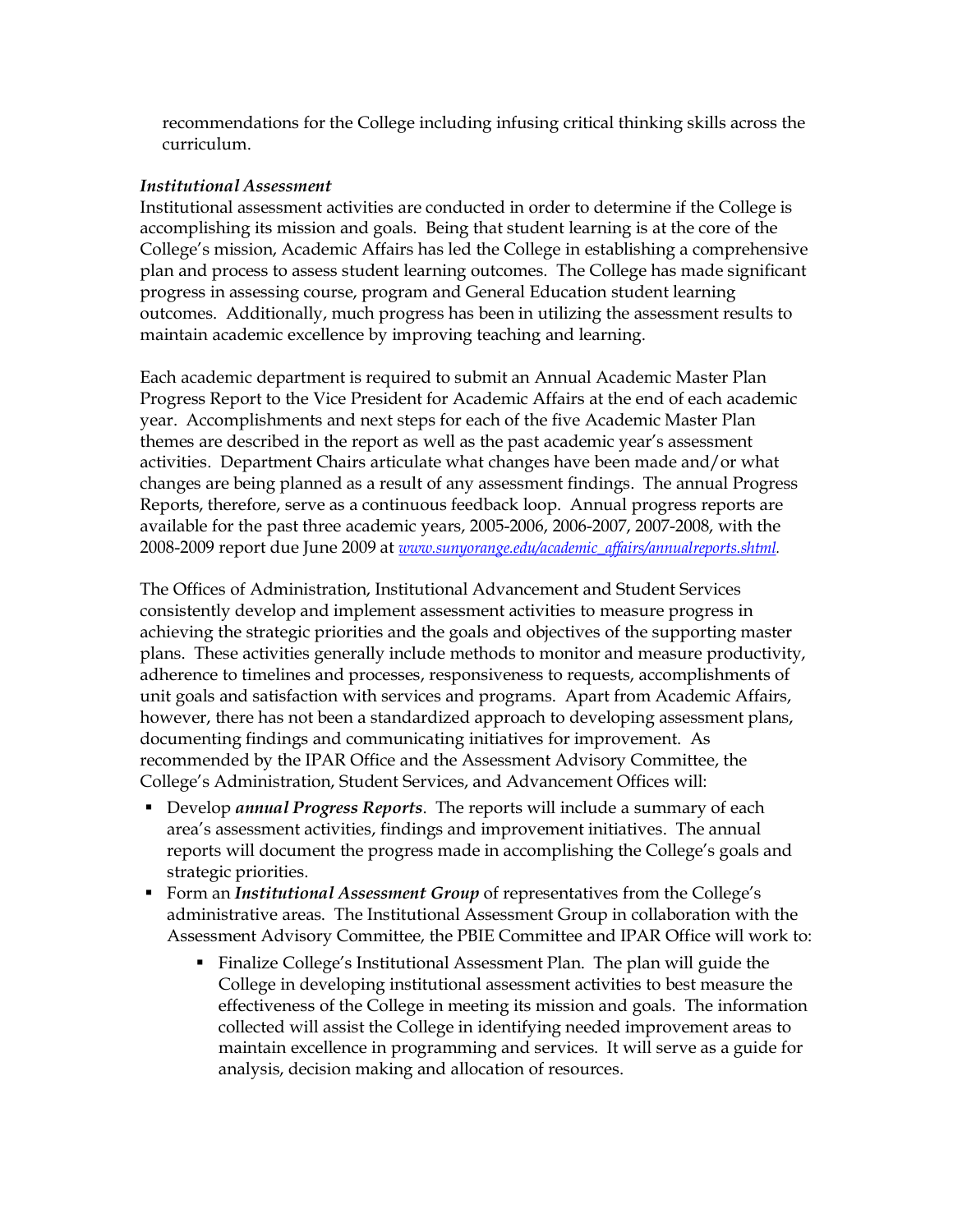recommendations for the College including infusing critical thinking skills across the curriculum.

#### *Institutional Assessment*

Institutional assessment activities are conducted in order to determine if the College is accomplishing its mission and goals. Being that student learning is at the core of the College's mission, Academic Affairs has led the College in establishing a comprehensive plan and process to assess student learning outcomes. The College has made significant progress in assessing course, program and General Education student learning outcomes. Additionally, much progress has been in utilizing the assessment results to maintain academic excellence by improving teaching and learning.

Each academic department is required to submit an Annual Academic Master Plan Progress Report to the Vice President for Academic Affairs at the end of each academic year. Accomplishments and next steps for each of the five Academic Master Plan themes are described in the report as well as the past academic year's assessment activities. Department Chairs articulate what changes have been made and/or what changes are being planned as a result of any assessment findings. The annual Progress Reports, therefore, serve as a continuous feedback loop. Annual progress reports are available for the past three academic years, 2005-2006, 2006-2007, 2007-2008, with the 20082009 report due June 2009 at *www.sunyorange.edu/academic\_af airs/annualreports.shtml.*

The Offices of Administration, Institutional Advancement and Student Services consistently develop and implement assessment activities to measure progress in achieving the strategic priorities and the goals and objectives of the supporting master plans. These activities generally include methods to monitor and measure productivity, adherence to timelines and processes, responsiveness to requests, accomplishments of unit goals and satisfaction with services and programs. Apart from Academic Affairs, however, there has not been a standardized approach to developing assessment plans, documenting findings and communicating initiatives for improvement. As recommended by the IPAR Office and the Assessment Advisory Committee, the College's Administration, Student Services, and Advancement Offices will:

- **EXECTE 1** Develop *annual Progress Reports*. The reports will include a summary of each area's assessment activities, findings and improvement initiatives. The annual reports will document the progress made in accomplishing the College's goals and strategic priorities.
- **Form an** *Institutional Assessment Group* of representatives from the College's administrative areas. The Institutional Assessment Group in collaboration with the Assessment Advisory Committee, the PBIE Committee and IPAR Office will work to:
	- Finalize College's Institutional Assessment Plan. The plan will guide the College in developing institutional assessment activities to best measure the effectiveness of the College in meeting its mission and goals. The information collected will assist the College in identifying needed improvement areas to maintain excellence in programming and services. It will serve as a guide for analysis, decision making and allocation of resources.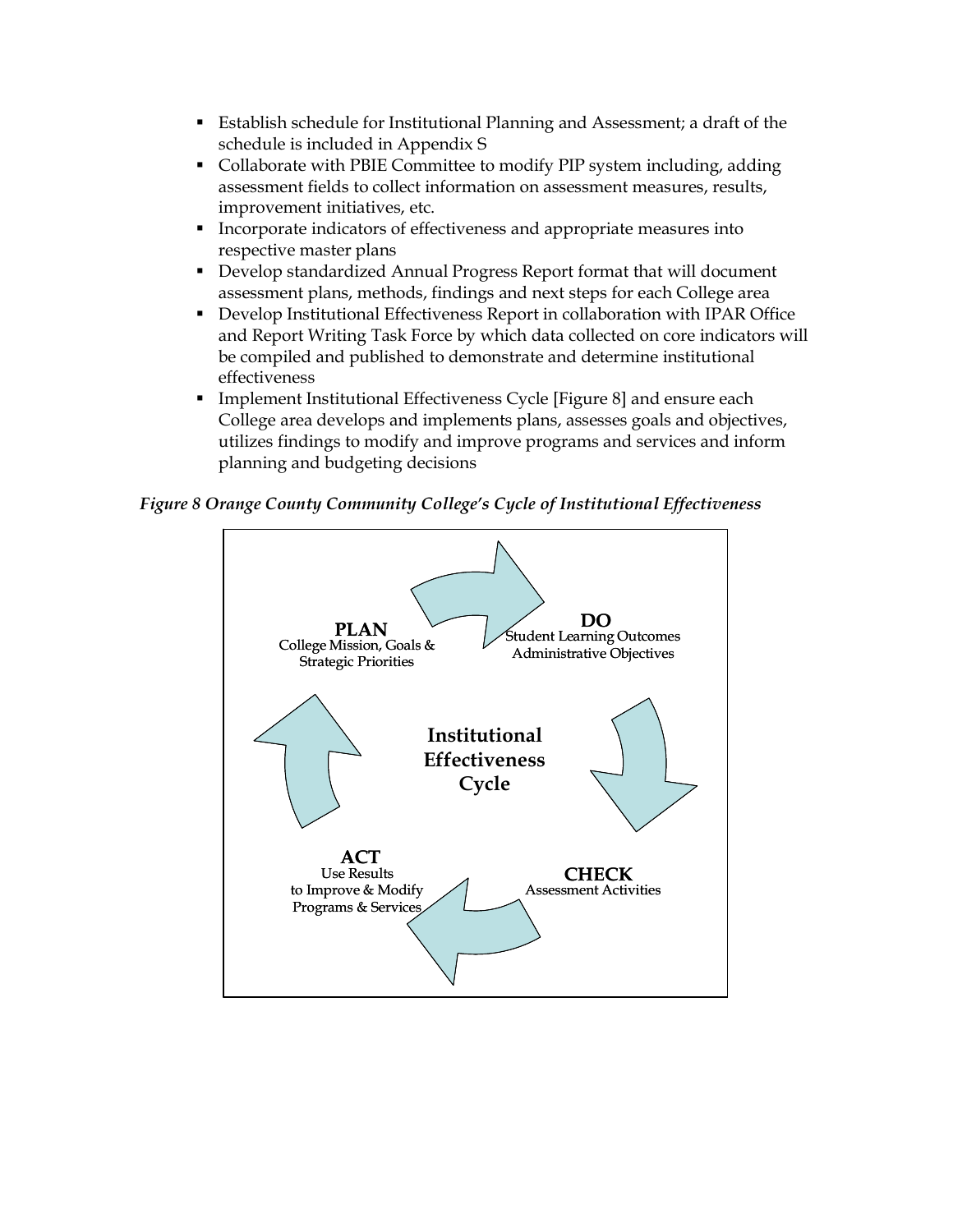- **Example 1** Establish schedule for Institutional Planning and Assessment; a draft of the schedule is included in Appendix S
- Collaborate with PBIE Committee to modify PIP system including, adding assessment fields to collect information on assessment measures, results, improvement initiatives, etc.
- **Incorporate indicators of effectiveness and appropriate measures into** respective master plans
- **Develop standardized Annual Progress Report format that will document** assessment plans, methods, findings and next steps for each College area
- **Develop Institutional Effectiveness Report in collaboration with IPAR Office** and Report Writing Task Force by which data collected on core indicators will be compiled and published to demonstrate and determine institutional effectiveness
- **Implement Institutional Effectiveness Cycle [Figure 8] and ensure each** College area develops and implements plans, assesses goals and objectives, utilizes findings to modify and improve programs and services and inform planning and budgeting decisions

*Figure 8 Orange County Community College's Cycle of Institutional Effectiveness*

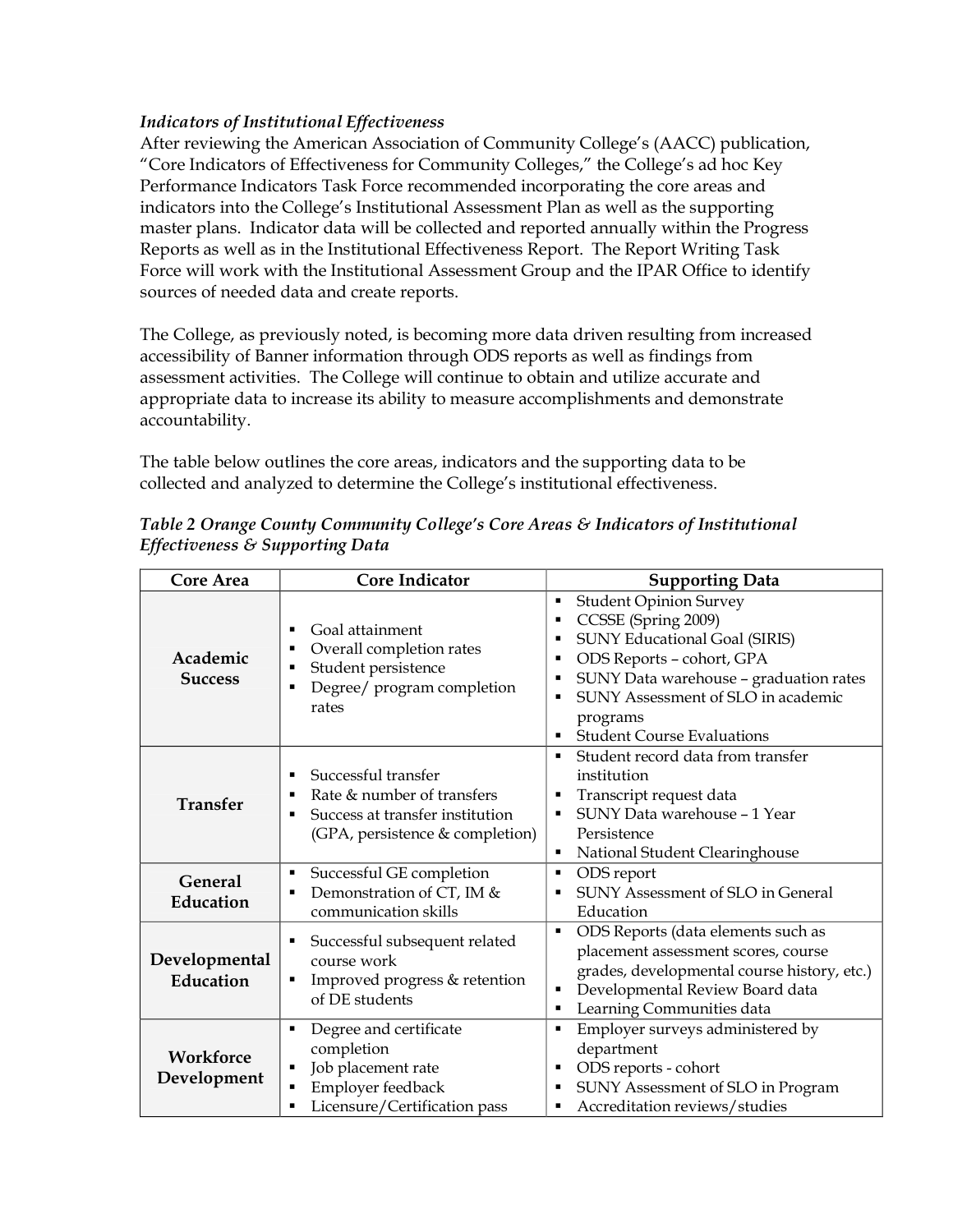## *Indicators of Institutional Effectiveness*

After reviewing the American Association of Community College's (AACC) publication, "Core Indicators of Effectiveness for Community Colleges," the College's ad hoc Key Performance Indicators Task Force recommended incorporating the core areas and indicators into the College's Institutional Assessment Plan as well as the supporting master plans. Indicator data will be collected and reported annually within the Progress Reports as well as in the Institutional Effectiveness Report. The Report Writing Task Force will work with the Institutional Assessment Group and the IPAR Office to identify sources of needed data and create reports.

The College, as previously noted, is becoming more data driven resulting from increased accessibility of Banner information through ODS reports as well as findings from assessment activities. The College will continue to obtain and utilize accurate and appropriate data to increase its ability to measure accomplishments and demonstrate accountability.

The table below outlines the core areas, indicators and the supporting data to be collected and analyzed to determine the College's institutional effectiveness.

| <b>Core Area</b>            | <b>Core Indicator</b>                                                                                                               | <b>Supporting Data</b>                                                                                                                                                                                                                                                    |
|-----------------------------|-------------------------------------------------------------------------------------------------------------------------------------|---------------------------------------------------------------------------------------------------------------------------------------------------------------------------------------------------------------------------------------------------------------------------|
| Academic<br><b>Success</b>  | Goal attainment<br>٠<br>Overall completion rates<br>п<br>Student persistence<br>Ξ<br>Degree/ program completion<br>п<br>rates       | <b>Student Opinion Survey</b><br>CCSSE (Spring 2009)<br>٠<br><b>SUNY Educational Goal (SIRIS)</b><br>ODS Reports - cohort, GPA<br>٠<br>SUNY Data warehouse - graduation rates<br>٠<br>SUNY Assessment of SLO in academic<br>programs<br><b>Student Course Evaluations</b> |
| <b>Transfer</b>             | Successful transfer<br>٠<br>Rate & number of transfers<br>п<br>Success at transfer institution<br>(GPA, persistence & completion)   | Student record data from transfer<br>institution<br>Transcript request data<br>٠<br>SUNY Data warehouse - 1 Year<br>Persistence<br>National Student Clearinghouse                                                                                                         |
| <b>General</b><br>Education | Successful GE completion<br>٠<br>Demonstration of CT, IM &<br>п<br>communication skills                                             | ODS report<br>٠<br>SUNY Assessment of SLO in General<br>٠<br>Education                                                                                                                                                                                                    |
| Developmental<br>Education  | Successful subsequent related<br>٠<br>course work<br>Improved progress & retention<br>٠<br>of DE students                           | ODS Reports (data elements such as<br>$\blacksquare$<br>placement assessment scores, course<br>grades, developmental course history, etc.)<br>Developmental Review Board data<br>٠<br>Learning Communities data<br>$\blacksquare$                                         |
| Workforce<br>Development    | Degree and certificate<br>Ξ<br>completion<br>Job placement rate<br>п<br>Employer feedback<br>п<br>Licensure/Certification pass<br>п | Employer surveys administered by<br>department<br>ODS reports - cohort<br>٠<br>SUNY Assessment of SLO in Program<br>٠<br>Accreditation reviews/studies<br>٠                                                                                                               |

*Table 2 Orange County Community College's Core Areas & Indicators of Institutional Effectiveness & Supporting Data*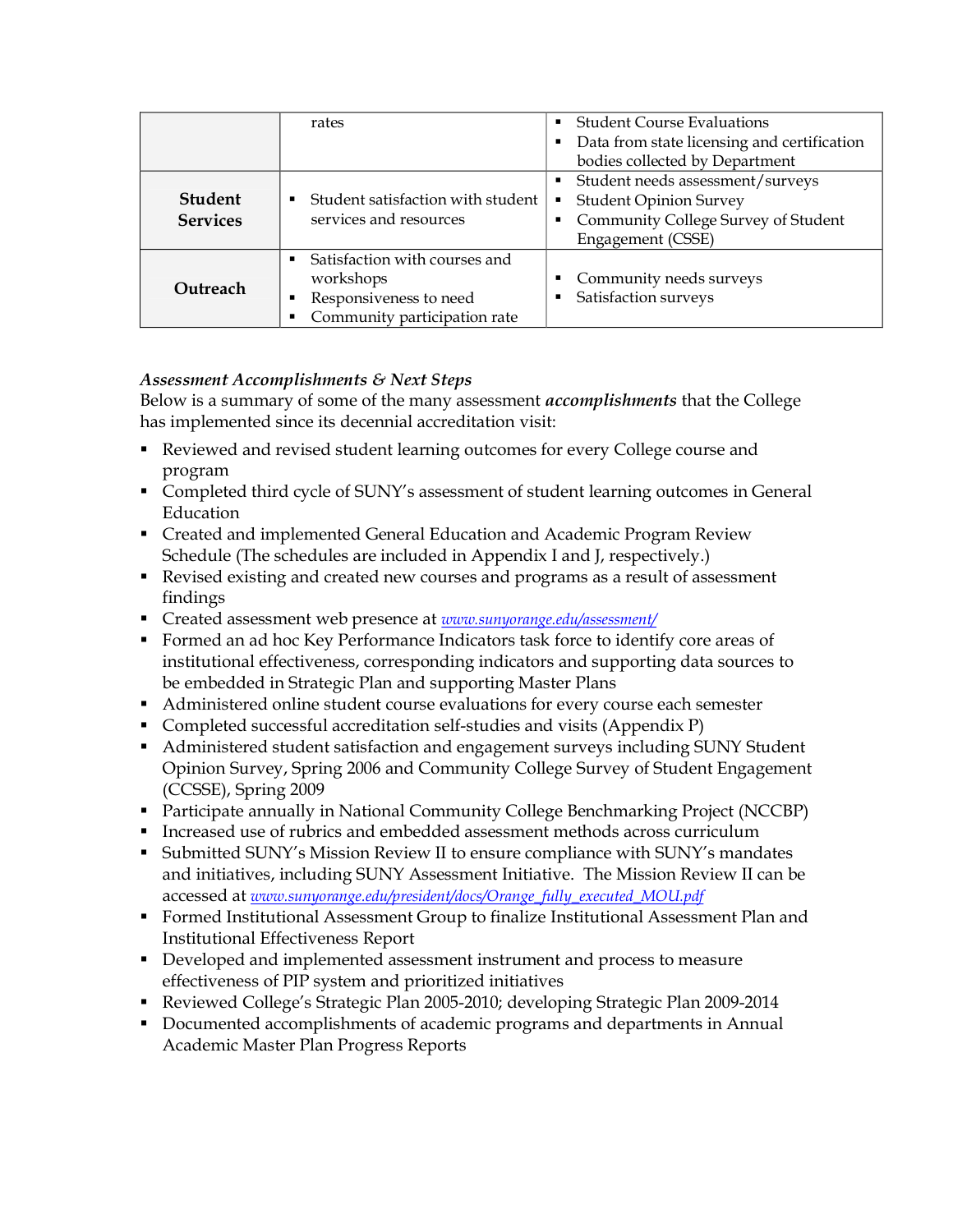|                 | rates                                            | <b>Student Course Evaluations</b><br>٠           |
|-----------------|--------------------------------------------------|--------------------------------------------------|
|                 |                                                  | Data from state licensing and certification<br>٠ |
|                 |                                                  | bodies collected by Department                   |
|                 |                                                  | Student needs assessment/surveys                 |
| <b>Student</b>  | $\blacksquare$ Student satisfaction with student | <b>Student Opinion Survey</b><br>Е               |
| <b>Services</b> | services and resources                           | Community College Survey of Student<br>Е         |
|                 |                                                  | Engagement (CSSE)                                |
|                 | Satisfaction with courses and                    |                                                  |
| Outreach        | workshops                                        | Community needs surveys<br>п                     |
|                 | Responsiveness to need<br>٠                      | Satisfaction surveys<br>п                        |
|                 | Community participation rate                     |                                                  |

# *Assessment Accomplishments & Next Steps*

Below is a summary of some of the many assessment *accomplishments* that the College has implemented since its decennial accreditation visit:

- Reviewed and revised student learning outcomes for every College course and program
- Completed third cycle of SUNY's assessment of student learning outcomes in General Education
- **Exercise 2** Created and implemented General Education and Academic Program Review Schedule (The schedules are included in Appendix I and J, respectively.)
- Revised existing and created new courses and programs as a result of assessment findings
- Created assessment web presence at *www.sunyorange.edu/assessment/*
- **Formed an ad hoc Key Performance Indicators task force to identify core areas of** institutional effectiveness, corresponding indicators and supporting data sources to be embedded in Strategic Plan and supporting Master Plans
- **Administered online student course evaluations for every course each semester**
- Completed successful accreditation self-studies and visits (Appendix P)
- **Administered student satisfaction and engagement surveys including SUNY Student** Opinion Survey, Spring 2006 and Community College Survey of Student Engagement (CCSSE), Spring 2009
- **Participate annually in National Community College Benchmarking Project (NCCBP)**
- **Increased use of rubrics and embedded assessment methods across curriculum**
- **Submitted SUNY's Mission Review II to ensure compliance with SUNY's mandates** and initiatives, including SUNY Assessment Initiative. The Mission Review II can be accessed at *www.sunyorange.edu/president/docs/Orange\_fully\_executed\_MOU.pdf*
- **Formed Institutional Assessment Group to finalize Institutional Assessment Plan and** Institutional Effectiveness Report
- **•** Developed and implemented assessment instrument and process to measure effectiveness of PIP system and prioritized initiatives
- Reviewed College's Strategic Plan 2005-2010; developing Strategic Plan 2009-2014
- **Documented accomplishments of academic programs and departments in Annual** Academic Master Plan Progress Reports